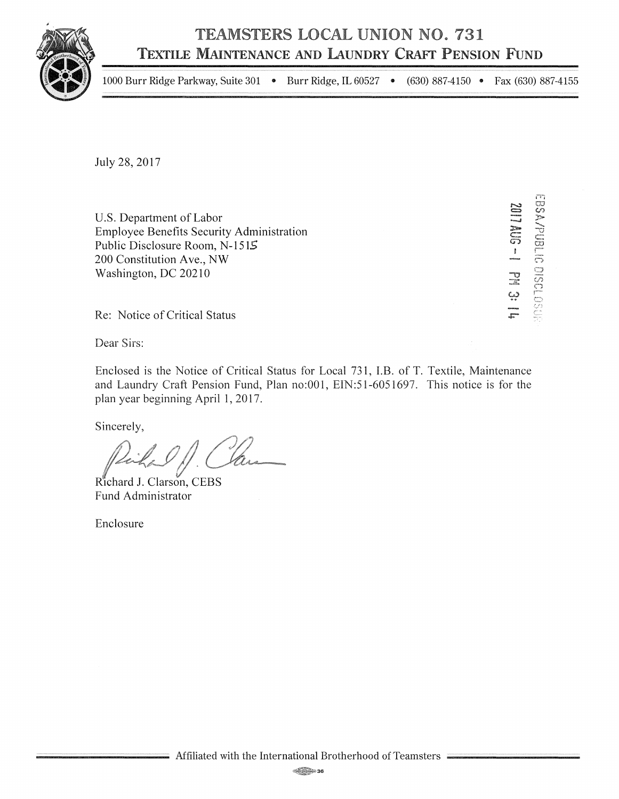**TEAMSTERS LOCAL UNION NO. 731 TEXTILE MAINTENANCE AND LAUNDRY CRAFT PENSION FuND** 



1000 Burr Ridge Parkway, Suite 301 • Burr Ridge, IL 60527 • (630) 887-4150 • Fax (630) 887-4155

July 28, 2017

U.S. Department of Labor Employee Benefits Security Administration Public Disclosure Room, N-15 lS 200 Constitution Ave., NW Washington, DC 20210

 $\Xi$ ह<br>क  $\frac{1}{2}$ جي  $a_{\rm e}^{\rm beam}$ EBSA/PUBL  $\epsilon$  $\mathbb{C}^*$ 0<br> **CO** 

Re: Notice of Critical Status

Dear Sirs:

Enclosed is the Notice of Critical Status for Local 731, l.B. of T. Textile, Maintenance and Laundry Craft Pension Fund, Plan no:OOl, EIN:51-6051697. This notice is for the plan year beginning April 1, 2017.

Sincerely,

ffiche !! Clan

Richard J. Clarson, CEBS Fund Administrator

Enclosure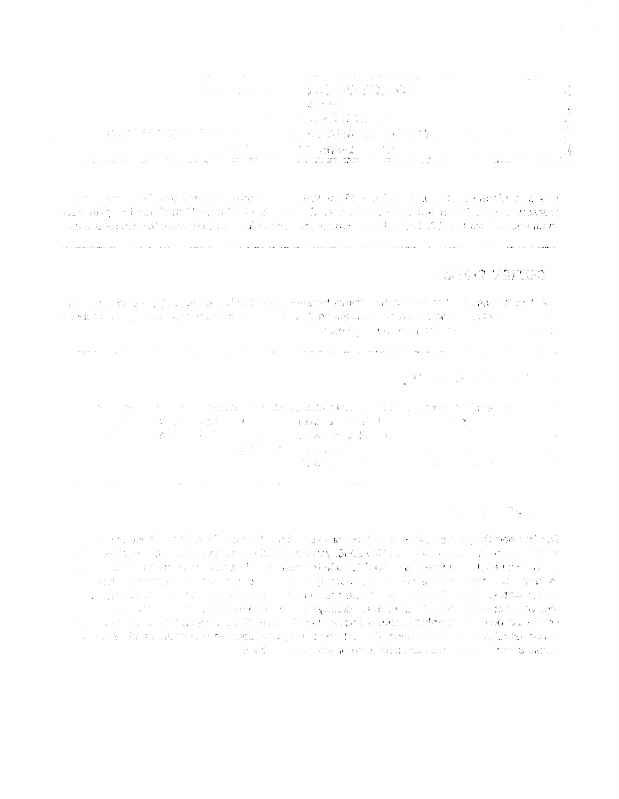| ေသာ အေရွ႕ေတြ ျဖစ္ပါတယ္။ ေျပာလုပ္ေနတာ ျဖစ္ပါတယ္။<br>ေျပာလုပ္ေတြ ျပည္ေတာ္ ေျပာလုပ္ေတြ ျဖစ္ပါတယ္။ ေျပာလုပ္ေတြ ျဖစ္ပါတယ္။<br>ေျပာလုပ္ေတြ ျပည္ေတြကို ျပည္ေတြကို ျပည္ေတြ ျဖစ္ပါတယ္။ ေျပာလုပ္ေတြ ျပည္ေတာ္ ေျပာလုပ္ေတြ ျပည္ေတြကို ျပည္ေတြကိ<br>アーバー アール・サイクス やりこ                                                                                                                                                                                                                                                                                                      |   |
|---------------------------------------------------------------------------------------------------------------------------------------------------------------------------------------------------------------------------------------------------------------------------------------------------------------------------------------------------------------------------------------------------------------------------------------------------------------------------------------------------------------------------------------------------------------|---|
|                                                                                                                                                                                                                                                                                                                                                                                                                                                                                                                                                               |   |
|                                                                                                                                                                                                                                                                                                                                                                                                                                                                                                                                                               |   |
|                                                                                                                                                                                                                                                                                                                                                                                                                                                                                                                                                               |   |
| 가능한 사람이 어떤 거짓 것이 아니까 이 아이들이 아니라 아이들이 나와 있는 부모님은 사람들이 이 사람이 없었다. 이 아이들이 아니라 아니라                                                                                                                                                                                                                                                                                                                                                                                                                                                                                | 抖 |
| The Machine Company of the Company of the Company of the Company of the Company and discussions and the Company of the Company of the Company of the Company of the Company of the Company of the Company of the Company of th<br>- 第二十四 第3章 4時間は、4時間もある。 - 「ここの大きな、1000」と発行している。 - 「ここのここのこと」と書き、あたしい。 - 「ここのこと」は、1990年には、<br>contracted by the contract of the contracted by the contracted by the contracted by the contracted by the contracted by the contracted by the contracted by the contracted by the contracted by the contracted by the contract |   |

ាន នាពេទ្យ ២០០០ នាក់ នាក់ ស្រាយ ស្រាយ ១០០០ នេះ នៅមិនសំណើរមែន ទូណា នាក់ និង បង្កើតនៅស្រាយ ស្តី ខាងពិ assertation of the "complete" and the second of order of the article and set of the states of was good agouse of easing but the confliction and electronic of the first Color Conflict or operation

.<br>The state who were the completed and the second contract the contract of the contract of the second memory of the second second second second second second second second second services

and special control of the company of the

#### i visu ni ing lingga katanggot ng mga kalayang mga kalayang mga kalayang mga kalayang mga kalayang mga kalayan<br>Ing makalayang mga kalayang mga kalayang mga kalayang mga kalayang mga kalayang mga kalayang mga kalayang mga

ារដែលរយៈពេលនៅរដ្ឋបាល ដូច លោកដំណើរដោយមានអនុស្សនៅ <mark>អាវុត</mark>ិកាលព័រតែលោកដាក់ ៥ ដែលក្រុងស្រុក និង បា POSSES AND THE RAIL OF THE PROPERTY IN A LOCAL DRIVER OF THE DOST OF START CONSERVATION  $\mathcal{O}(\mathbf{g},\mathbf{g}) = \mathcal{O}(\mathbf{g},\mathbf{g}) \mathcal{O}(\mathbf{g},\mathbf{g})$ 

.<br>The protection of the contract of the contract of the problem and the second statement of the contract of the second

# 

 $\mathcal{L}^{\mathcal{L}}(\mathcal{L}^{\mathcal{L}})$  and  $\mathcal{L}^{\mathcal{L}}(\mathcal{L}^{\mathcal{L}})$  and  $\mathcal{L}^{\mathcal{L}}(\mathcal{L}^{\mathcal{L}})$ 

and the project of the company of the construction of the company of the second theory is the company of the company 

a de la componencia de la componencia de la componencia de la componencia de la componencia de la componencia

## 

our encouncil in the control of the fact of the state of the state of the state of the state of the which the second contribution of the property  $\mathcal{S}\!P\!G_{\Delta}$  with an order of the second contribution าก และเรา สาขารถที่ และสงครั้งการข้องเขากล่างใจเป็นไม่ไม่ เลย และเลยได้เขา และ สงสด กัน เจ and the estimation and state of the same problems of the term with the term of the second ารนี้ เพราะอย่างการการที่สมในส่วนสหรับ เช่น ความเป็นหาเดือนที่เช่น ปลายเดียว เช่น ที่ ความที่ เสมชันที่ที่ เขต<br>เรา เก่น ความที่ การการที่ประเทศ ถูกเสนตพระทำนัก เรากุลสัมพันธ์ เช่น หนังมี คณิก เราการการสนบที่ชัดทำนัก เรากั n a Post Carlo 1978, A contribuição formal de Preticos (profas extrêmento de Preticos de Sulta e el 1999 in a construction of the second company of the construction of the presence of the final states (see your ina alam menyeraha tanggalan dan dan dalam secara Porto awal d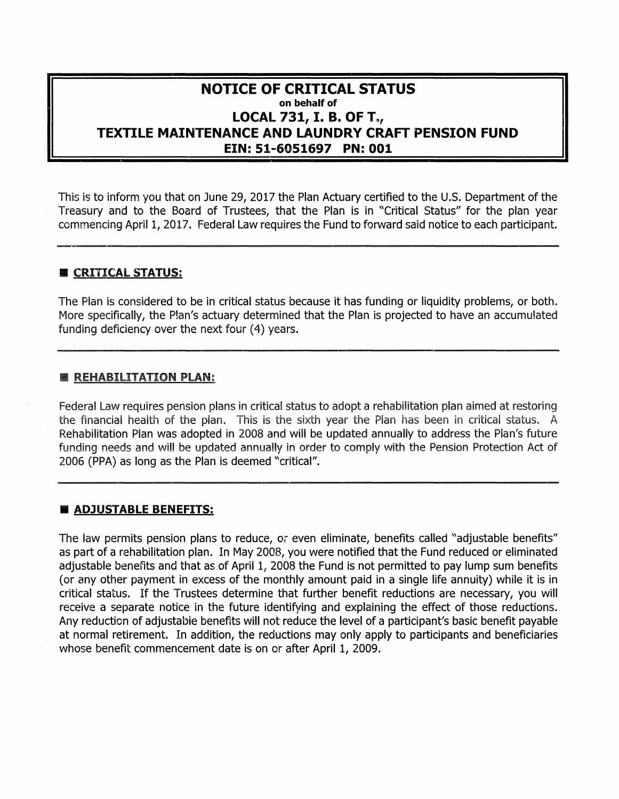## **NOTICE OF CRITICAL STATUS on behalf of LOCAL 731, I. B. OFT., TEXTILE MAINTENANCE AND LAUNDRY CRAFT PENSION FUND EIN: 51-6051697 PN: 001**

This is to inform you that on June 29, 2017 the Plan Actuary certified to the U.S. Department of the Treasury and to the Board of Trustees, that the Plan is in "Critical Status" for the plan year commencing April 1, 2017. Federal Law requires the Fund to forward said notice to each participant.

#### • CRITICAL **STATUS:**

The Plan is considered to be in critical status because it has funding or liquidity problems, or both. More specifically, the Plan's actuary determined that the Plan is projected to have an accumulated funding deficiency over the next four (4) years.

#### **E** REHABILITATION PLAN:

Federal Law requires pension plans in critical status to adopt a rehabilitation plan aimed at restoring the financial health of the plan. This is the sixth year the Plan has been in critical status. A Rehabilitation Plan was adopted in 2008 and will be updated annually to address the Plan's future funding needs and will be updated annually in order to comply with the Pension Protection Act of 2006 (PPA) as long as the Plan is deemed "critical".

#### **•ADJUSTABLE BENEFITS:**

The law permits pension plans to reduce, or even eliminate, benefits called "adjustable benefits" as part of a rehabilitation plan. In May 2008, you were notified that the Fund reduced or eliminated adjustable benefits and that as of April 1, 2008 the Fund is not permitted to pay lump sum benefits (or any other payment in excess of the monthly amount paid in a single life annuity) while it is in critical status. If the Trustees determine that further benefit reductions are necessary, you will receive a separate notice in the future identifying and explaining the effect of those reductions. Any reduction of adjustable benefits will not reduce the level of a participant's basic benefit payable at normal retirement. In addition, the reductions may only apply to participants and beneficiaries whose benefit commencement date is on or after April 1, 2009.